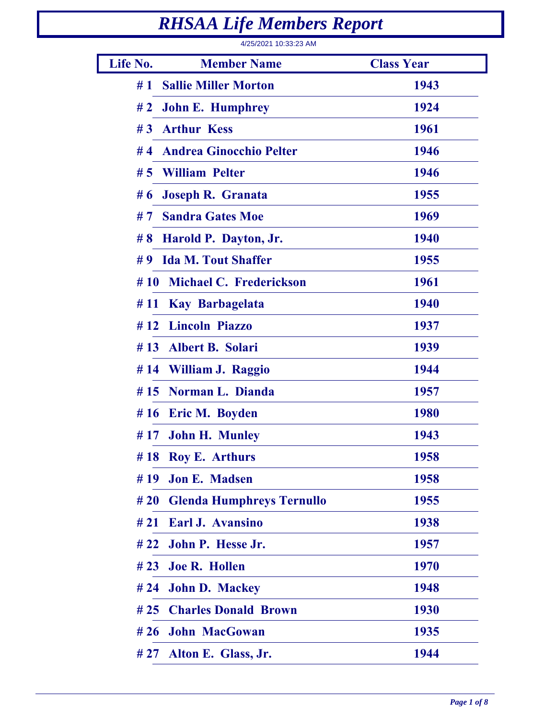## *RHSAA Life Members Report*

4/25/2021 10:33:23 AM

| Life No. | <b>Member Name</b>               | <b>Class Year</b> |
|----------|----------------------------------|-------------------|
| #1       | <b>Sallie Miller Morton</b>      | 1943              |
| # 2      | <b>John E. Humphrey</b>          | 1924              |
| # $3$    | <b>Arthur Kess</b>               | 1961              |
| #4       | <b>Andrea Ginocchio Pelter</b>   | 1946              |
| #5       | <b>William Pelter</b>            | 1946              |
| # $6$    | <b>Joseph R. Granata</b>         | 1955              |
| #7       | <b>Sandra Gates Moe</b>          | 1969              |
| # $8$    | Harold P. Dayton, Jr.            | 1940              |
| #9       | <b>Ida M. Tout Shaffer</b>       | 1955              |
| #10      | <b>Michael C. Frederickson</b>   | 1961              |
| # 11     | <b>Kay Barbagelata</b>           | 1940              |
|          | #12 Lincoln Piazzo               | 1937              |
| # 13     | <b>Albert B. Solari</b>          | 1939              |
|          | #14 William J. Raggio            | 1944              |
| # 15     | <b>Norman L. Dianda</b>          | 1957              |
|          | #16 Eric M. Boyden               | <b>1980</b>       |
|          | #17 John H. Munley               | 1943              |
|          | #18 Roy E. Arthurs               | 1958              |
| # 19     | <b>Jon E. Madsen</b>             | 1958              |
| # 20     | <b>Glenda Humphreys Ternullo</b> | 1955              |
| #21      | <b>Earl J. Avansino</b>          | 1938              |
|          | #22 John P. Hesse Jr.            | 1957              |
|          | #23 Joe R. Hollen                | 1970              |
| # 24     | <b>John D. Mackey</b>            | 1948              |
|          | #25 Charles Donald Brown         | 1930              |
|          | #26 John MacGowan                | 1935              |
|          | #27 Alton E. Glass, Jr.          | 1944              |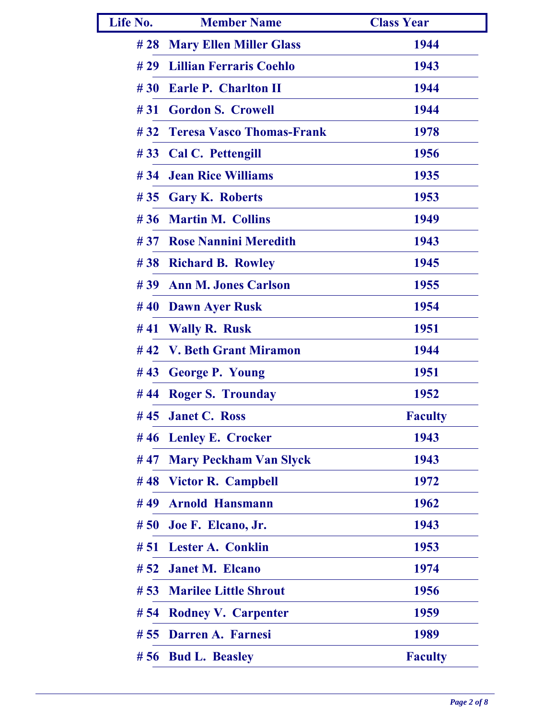| Life No. | <b>Member Name</b>            | <b>Class Year</b> |
|----------|-------------------------------|-------------------|
|          | #28 Mary Ellen Miller Glass   | 1944              |
|          | #29 Lillian Ferraris Coehlo   | 1943              |
|          | #30 Earle P. Charlton II      | 1944              |
|          | #31 Gordon S. Crowell         | 1944              |
|          | #32 Teresa Vasco Thomas-Frank | 1978              |
|          | #33 Cal C. Pettengill         | 1956              |
|          | #34 Jean Rice Williams        | 1935              |
|          | #35 Gary K. Roberts           | 1953              |
|          | #36 Martin M. Collins         | 1949              |
|          | #37 Rose Nannini Meredith     | 1943              |
|          | #38 Richard B. Rowley         | 1945              |
|          | #39 Ann M. Jones Carlson      | 1955              |
|          | #40 Dawn Ayer Rusk            | 1954              |
|          | #41 Wally R. Rusk             | 1951              |
|          | #42 V. Beth Grant Miramon     | 1944              |
|          | #43 George P. Young           | 1951              |
|          | #44 Roger S. Trounday         | 1952              |
|          | #45 Janet C. Ross             | <b>Faculty</b>    |
|          | #46 Lenley E. Crocker         | 1943              |
| #47      | <b>Mary Peckham Van Slyck</b> | 1943              |
| #48      | <b>Victor R. Campbell</b>     | 1972              |
| #49      | <b>Arnold Hansmann</b>        | 1962              |
| #50      | Joe F. Elcano, Jr.            | 1943              |
| #51      | <b>Lester A. Conklin</b>      | 1953              |
| #52      | <b>Janet M. Elcano</b>        | 1974              |
| # 53     | <b>Marilee Little Shrout</b>  | 1956              |
| # 54     | <b>Rodney V. Carpenter</b>    | 1959              |
| # 55     | Darren A. Farnesi             | 1989              |
|          | #56 Bud L. Beasley            | <b>Faculty</b>    |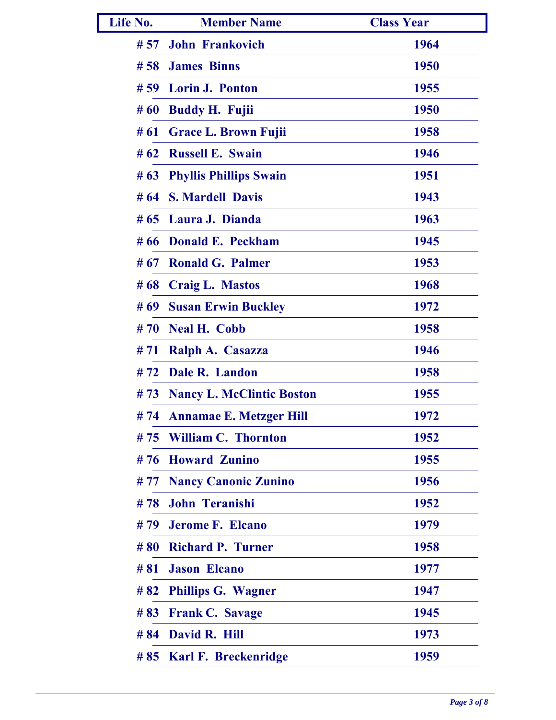| Life No. | <b>Member Name</b>            | <b>Class Year</b> |
|----------|-------------------------------|-------------------|
|          | #57 John Frankovich           | 1964              |
|          | #58 James Binns               | 1950              |
|          | #59 Lorin J. Ponton           | 1955              |
|          | #60 Buddy H. Fujii            | 1950              |
|          | #61 Grace L. Brown Fujii      | 1958              |
|          | #62 Russell E. Swain          | 1946              |
|          | # 63 Phyllis Phillips Swain   | 1951              |
|          | #64 S. Mardell Davis          | 1943              |
|          | # 65 Laura J. Dianda          | 1963              |
|          | #66 Donald E. Peckham         | 1945              |
|          | #67 Ronald G. Palmer          | 1953              |
|          | #68 Craig L. Mastos           | 1968              |
|          | # 69 Susan Erwin Buckley      | 1972              |
|          | #70 Neal H. Cobb              | 1958              |
|          | #71 Ralph A. Casazza          | 1946              |
|          | #72 Dale R. Landon            | 1958              |
|          | #73 Nancy L. McClintic Boston | 1955              |
|          | #74 Annamae E. Metzger Hill   | 1972              |
| # 75     | <b>William C. Thornton</b>    | 1952              |
| #76      | <b>Howard Zunino</b>          | 1955              |
| # 77     | <b>Nancy Canonic Zunino</b>   | 1956              |
| #78      | John Teranishi                | 1952              |
| #79      | <b>Jerome F. Elcano</b>       | 1979              |
| #80      | <b>Richard P. Turner</b>      | 1958              |
| #81      | <b>Jason Elcano</b>           | 1977              |
| # 82     | <b>Phillips G. Wagner</b>     | 1947              |
| #83      | <b>Frank C. Savage</b>        | 1945              |
| # 84     | David R. Hill                 | 1973              |
|          | #85 Karl F. Breckenridge      | 1959              |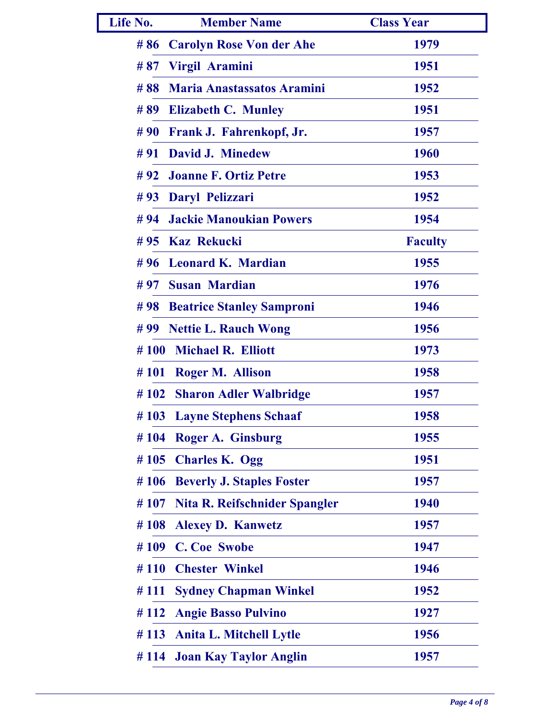| Life No. | <b>Member Name</b>                   | <b>Class Year</b> |
|----------|--------------------------------------|-------------------|
|          | #86 Carolyn Rose Von der Ahe         | 1979              |
|          | #87 Virgil Aramini                   | 1951              |
|          | #88 Maria Anastassatos Aramini       | 1952              |
|          | #89 Elizabeth C. Munley              | 1951              |
|          | #90 Frank J. Fahrenkopf, Jr.         | 1957              |
|          | #91 David J. Minedew                 | 1960              |
|          | #92 Joanne F. Ortiz Petre            | 1953              |
|          | #93 Daryl Pelizzari                  | 1952              |
|          | #94 Jackie Manoukian Powers          | 1954              |
|          | #95 Kaz Rekucki                      | <b>Faculty</b>    |
|          | #96 Leonard K. Mardian               | 1955              |
|          | #97 Susan Mardian                    | 1976              |
|          | #98 Beatrice Stanley Samproni        | 1946              |
|          | #99 Nettie L. Rauch Wong             | 1956              |
|          | #100 Michael R. Elliott              | 1973              |
|          | #101 Roger M. Allison                | 1958              |
|          | #102 Sharon Adler Walbridge          | 1957              |
|          | #103 Layne Stephens Schaaf           | 1958              |
| #104     | Roger A. Ginsburg                    | 1955              |
| #105     | <b>Charles K. Ogg</b>                | 1951              |
| #106     | <b>Beverly J. Staples Foster</b>     | 1957              |
| #107     | <b>Nita R. Reifschnider Spangler</b> | 1940              |
| #108     | <b>Alexey D. Kanwetz</b>             | 1957              |
| #109     | <b>C. Coe Swobe</b>                  | 1947              |
| #110     | <b>Chester Winkel</b>                | 1946              |
| # 111    | <b>Sydney Chapman Winkel</b>         | 1952              |
| #112     | <b>Angie Basso Pulvino</b>           | 1927              |
| #113     | <b>Anita L. Mitchell Lytle</b>       | 1956              |
| # 114    | <b>Joan Kay Taylor Anglin</b>        | 1957              |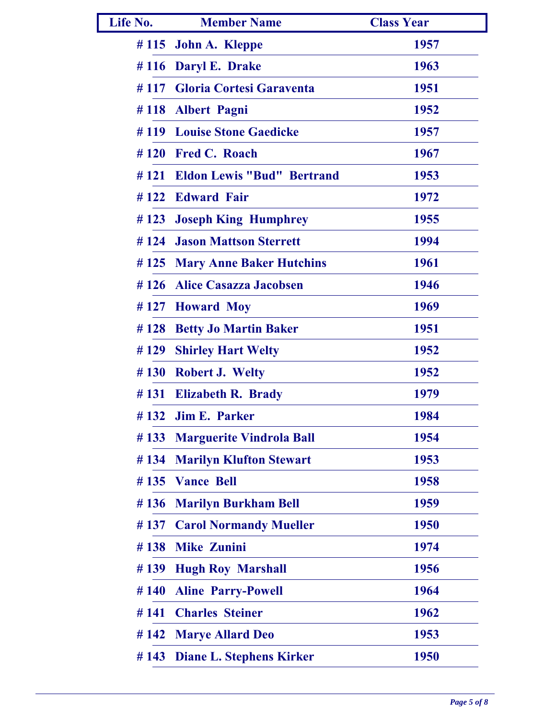| Life No. | <b>Member Name</b>              | <b>Class Year</b> |
|----------|---------------------------------|-------------------|
|          | $# 115$ John A. Kleppe          | 1957              |
|          | #116 Daryl E. Drake             | 1963              |
|          | #117 Gloria Cortesi Garaventa   | 1951              |
|          | #118 Albert Pagni               | 1952              |
|          | #119 Louise Stone Gaedicke      | 1957              |
|          | #120 Fred C. Roach              | 1967              |
|          | #121 Eldon Lewis "Bud" Bertrand | 1953              |
|          | #122 Edward Fair                | 1972              |
|          | #123 Joseph King Humphrey       | 1955              |
|          | #124 Jason Mattson Sterrett     | 1994              |
|          | #125 Mary Anne Baker Hutchins   | <b>1961</b>       |
| #126     | <b>Alice Casazza Jacobsen</b>   | 1946              |
|          | #127 Howard Moy                 | 1969              |
|          | #128 Betty Jo Martin Baker      | 1951              |
|          | #129 Shirley Hart Welty         | 1952              |
|          | #130 Robert J. Welty            | 1952              |
|          | #131 Elizabeth R. Brady         | 1979              |
| #132     | <b>Jim E. Parker</b>            | 1984              |
| #133     | <b>Marguerite Vindrola Ball</b> | 1954              |
| #134     | <b>Marilyn Klufton Stewart</b>  | 1953              |
| #135     | <b>Vance Bell</b>               | 1958              |
| #136     | <b>Marilyn Burkham Bell</b>     | 1959              |
| #137     | <b>Carol Normandy Mueller</b>   | 1950              |
| #138     | <b>Mike Zunini</b>              | 1974              |
| #139     | <b>Hugh Roy Marshall</b>        | 1956              |
| #140     | <b>Aline Parry-Powell</b>       | 1964              |
| #141     | <b>Charles Steiner</b>          | 1962              |
| #142     | <b>Marye Allard Deo</b>         | 1953              |
|          | #143 Diane L. Stephens Kirker   | 1950              |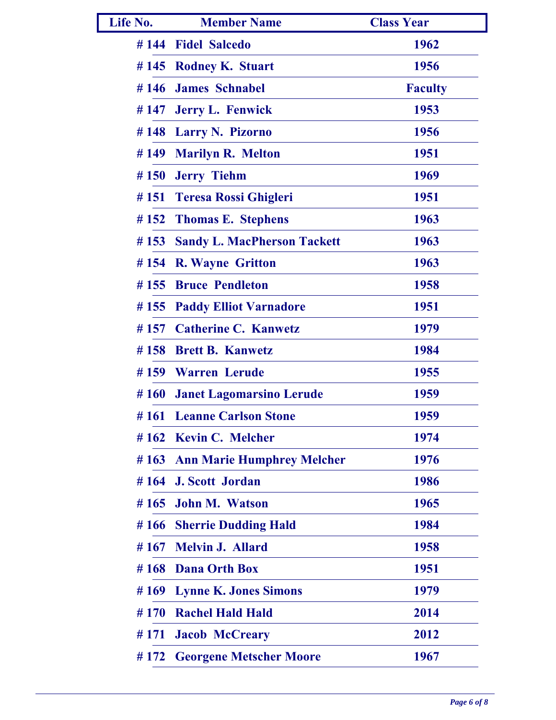| Life No. | <b>Member Name</b>                | <b>Class Year</b> |
|----------|-----------------------------------|-------------------|
|          | #144 Fidel Salcedo                | 1962              |
|          | #145 Rodney K. Stuart             | 1956              |
| #146     | <b>James Schnabel</b>             | <b>Faculty</b>    |
|          | #147 Jerry L. Fenwick             | 1953              |
|          | #148 Larry N. Pizorno             | 1956              |
|          | #149 Marilyn R. Melton            | 1951              |
|          | #150 Jerry Tiehm                  | 1969              |
|          | #151 Teresa Rossi Ghigleri        | 1951              |
|          | #152 Thomas E. Stephens           | 1963              |
|          | #153 Sandy L. MacPherson Tackett  | 1963              |
|          | #154 R. Wayne Gritton             | 1963              |
|          | #155 Bruce Pendleton              | 1958              |
|          | #155 Paddy Elliot Varnadore       | 1951              |
|          | #157 Catherine C. Kanwetz         | 1979              |
|          | #158 Brett B. Kanwetz             | 1984              |
|          | #159 Warren Lerude                | 1955              |
|          | #160 Janet Lagomarsino Lerude     | 1959              |
|          | #161 Leanne Carlson Stone         | 1959              |
|          | #162 Kevin C. Melcher             | 1974              |
| #163     | <b>Ann Marie Humphrey Melcher</b> | 1976              |
| #164     | <b>J. Scott Jordan</b>            | 1986              |
| #165     | <b>John M. Watson</b>             | 1965              |
| #166     | <b>Sherrie Dudding Hald</b>       | 1984              |
| #167     | <b>Melvin J. Allard</b>           | 1958              |
| #168     | <b>Dana Orth Box</b>              | 1951              |
| #169     | <b>Lynne K. Jones Simons</b>      | 1979              |
| #170     | <b>Rachel Hald Hald</b>           | 2014              |
| #171     | <b>Jacob McCreary</b>             | 2012              |
| #172     | <b>Georgene Metscher Moore</b>    | 1967              |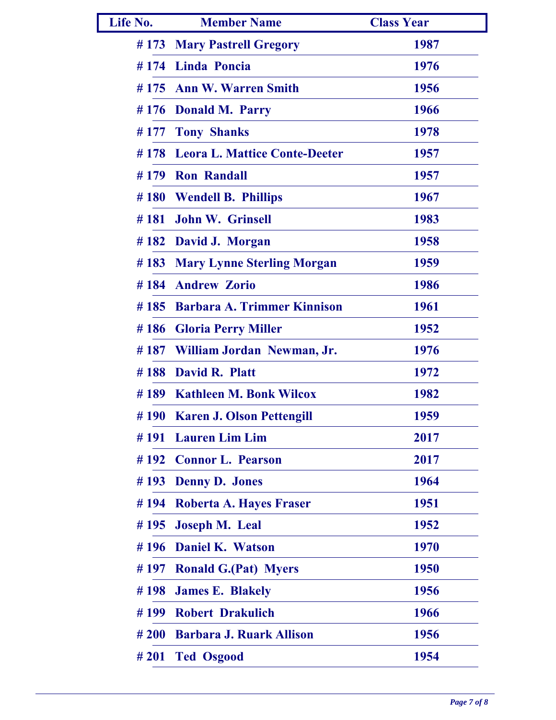| Life No. | <b>Member Name</b>                 | <b>Class Year</b> |
|----------|------------------------------------|-------------------|
|          | #173 Mary Pastrell Gregory         | 1987              |
|          | #174 Linda Poncia                  | 1976              |
|          | #175 Ann W. Warren Smith           | 1956              |
|          | #176 Donald M. Parry               | 1966              |
|          | #177 Tony Shanks                   | 1978              |
|          | #178 Leora L. Mattice Conte-Deeter | 1957              |
|          | #179 Ron Randall                   | 1957              |
|          | #180 Wendell B. Phillips           | 1967              |
| # 181    | <b>John W. Grinsell</b>            | 1983              |
|          | #182 David J. Morgan               | 1958              |
|          | #183 Mary Lynne Sterling Morgan    | 1959              |
|          | #184 Andrew Zorio                  | 1986              |
|          | #185 Barbara A. Trimmer Kinnison   | 1961              |
|          | #186 Gloria Perry Miller           | 1952              |
|          | #187 William Jordan Newman, Jr.    | 1976              |
|          | #188 David R. Platt                | 1972              |
|          | #189 Kathleen M. Bonk Wilcox       | 1982              |
|          | #190 Karen J. Olson Pettengill     | 1959              |
| #191     | <b>Lauren Lim Lim</b>              | 2017              |
| #192     | <b>Connor L. Pearson</b>           | 2017              |
| #193     | <b>Denny D. Jones</b>              | 1964              |
| #194     | Roberta A. Hayes Fraser            | 1951              |
| #195     | <b>Joseph M. Leal</b>              | 1952              |
| #196     | <b>Daniel K. Watson</b>            | 1970              |
| # 197    | <b>Ronald G.(Pat) Myers</b>        | 1950              |
| #198     | <b>James E. Blakely</b>            | 1956              |
| #199     | <b>Robert Drakulich</b>            | 1966              |
| # 200    | <b>Barbara J. Ruark Allison</b>    | 1956              |
| # 201    | <b>Ted Osgood</b>                  | 1954              |